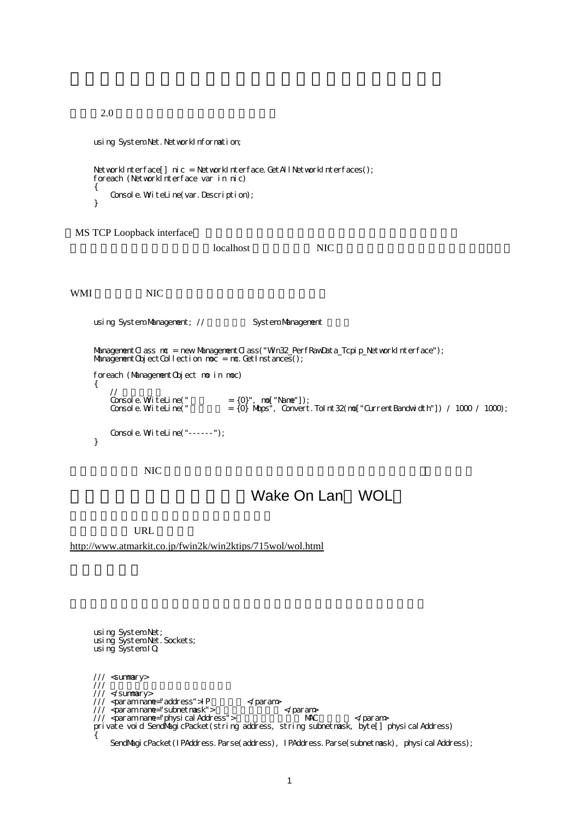```
2.0 using System.Net.NetworkInformation;
    NetworkInterface[] \vec{a} nic = NetworkInterface.GetAllNetworkInterfaces();
     foreach (NetworkInterface var in nic)
     {
       Console. WiteLine(var. Description);
     }
MS TCP Loopback interface
localhost NIC 2012 NIC 2012 NIC 2013 NIC 2014 NIC 2014 NIC 2014 NIC 2014 NIC 2014 NIC 2014 NIC 2014 NIC 2014 N
WMI NIC 2002 NIC 2006
    using System.Management; // System.Management
    ManagementClass mc = new ManagementClass("Win32_PerfRawData_Tcpip_NetworkInterface");
    Management Object Collection moc = mc. GetInstances();
    foreach (ManagementObject mo in moc)
     {
       //<br>Consol e. Wi teLi ne("<br>Consol e. Wi teLi ne("
   Console. WriteLine(" = {0}", mo["Name"]);
   Console. WriteLine(" = \{0\} Mbps", Convert. ToInt32(mo["CurrentBandwidth"]) / 1000 / 1000);
       Console. WiteLine("------");
     }
NIC
```
## Wake On Lan WOL

URL

<http://www.atmarkit.co.jp/fwin2k/win2ktips/715wol/wol.html>

 using System.Net; using System.Net.Sockets; using System.IO /// <summary> /// マジックパケットを送信します。 /// </summary> ///  $\varphi$ aram name="address"> $P$   $\leq$ param $\varphi$  /// <param name="subnetmask"> サブネットマスク </param> /// <param nane="physical Address"> NAC </param> private void SendMagicPacket(string address, string subnetmask, byte[] physicalAddress) { SendNagicPacket(IPAddress.Parse(address), IPAddress.Parse(subnetmask), physical Address);

1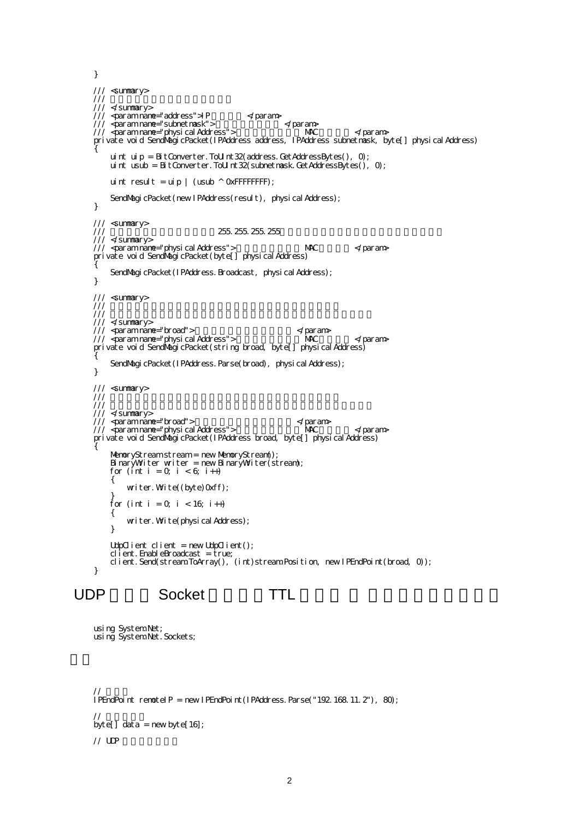```
 }
    /// <summary>
    /// マジックパケットを送信します。
    /// </summary>
   /// \varphiaram name="address">P \leqparam\varphi/// <param name="subnetmask"> \prec/param>
   /// <param name="physical Address"> \overline{\phantom{a}} MAC </param>
    private void SendMagicPacket(IPAddress address, IPAddress subnetmask, byte[] physical Address)
    {
        uint uip = BitConverter. ToU nt 32(address. GetAddressBytes(), \theta;
        uint usub = BitConverter. To U nt 32 (subnet mask. Get Address Bytes(), 0);
        uint result = uip | (usub \land OxFFFFFFFF);
        SendMagicPacket(new IPAddress(result), physical Address);
     }
    /// <summary>
                                  255.255.255.255
     /// </summary>
    /// <param name="physical Address"> NAC </param>
    private void SendMagicPacket(byte[] physical Address)
    {
        SendMagicPacket(IPAddress.Broadcast, physical Address);
     }
    /// <summary>
   //// ///// / /// </summary>
   /// <param name="broad"> \hspace{1cm} </param>
   /// <param name="physical Address"> \overline{\phantom{a}} MAC </param>
    private void SendMagicPacket(string broad, byte[] physicalAddress)
    {
        SendMagicPacket(IPAddress.Parse(broad), physical Address);
     }
    /// <summary>
   //// / /// 送信先のアドレスはブロードキャストアドレスである必要があります。
    /// </summary>
   /// <param name="broad"> \langle \rangle \langle \rangle \langle \rangle \langle \rangle \langle \rangle \langle \rangle \langle \rangle \langle \rangle \langle \rangle \langle \rangle \langle \rangle \langle \rangle \langle \rangle \langle \rangle \langle \rangle \langle \rangle \langle \rangle \langle \rangle \langle \rangle \langle \r/// <param nane="physical Address"> NAC </param>
    private void SendMagicPacket(IPAddress broad, byte[] physical Address)
    {
         MemoryStream stream = new MemoryStream();
        BinaryWiter writer = new BinaryWiter(stream);
        for (int i = 0, i < 6; i++)
         {
            writer. Write((byte)Oxff);
    }
        for (int i = 0; i < 16; i ++)
         {
            writer. Write(physical Address);
         }
        UdpClient client = new UdpClient();
        cl \mathbf i ent. EnableBroadcast = true;
         client.Send(stream.ToArray(), (int)stream.Position, new IPEndPoint(broad, 0));
     }
UDP 通信を Socket で行う。TTL の指定 ブロードキャスト。
```

```
 using System.Net;
 using System.Net.Sockets;
```

```
// \sim \simIPEndPoint remotelP = new IPEndPoint(IPAddress. Parse("192.168.11.2"), 80;
\frac{1}{2}byte[] data = new byte[16];
\frac{1}{2} upp
```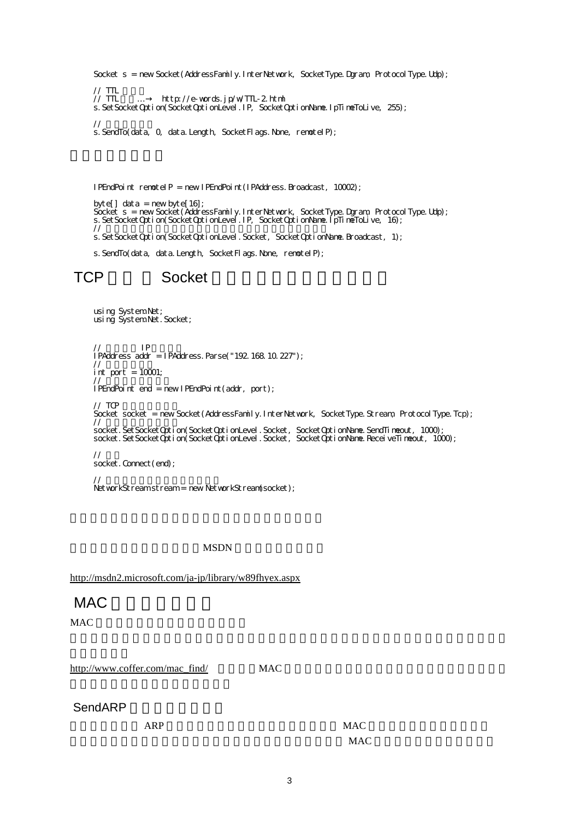Socket s = new Socket(AddressFamily.InterNetwork, SocketType.Dgram, ProtocolType.Udp);

```
\frac{1}{1} TTL \frac{1}{1}//TTL … http://e-words.jp/w/TTL-2.html
 s.SetSocketOption(SocketOptionLevel.IP, SocketOptionName.IpTimeToLive, 255);
```
 // データを送信 s. SendTo(data, Q data. Length, SocketFlags. None, remotelP);

IPEndPoint remotelP = new IPEndPoint(IPAddress.Broadcast, 10002);

byte[] data = new byte[16]; Socket s = new Socket(AddressFamily.InterNetwork, SocketType.Dgram, ProtocolType.Udp); s. SetSocketOption(SocketOptionLevel.IP, SocketOptionName.IpTimeToLive, 16);  $\prime$ //  $\phantom{a}$ s. SetSocketOption(SocketOptionLevel.Socket, SocketOptionName.Broadcast, 1);

s. SendTo(data, data. Length, SocketFlags. None, remotelP);

# TCP Socket

 using System.Net; using System.Net.Socket;  $\frac{1}{2}$  IP IPAddress addr = IPAddress.Parse("192.168.10.227");  $\prime\prime$ int port =  $10001$ ; // 接続先情報を作る IPEndPoint end = new IPEndPoint(addr, port);  $\frac{1}{2}$  TCP Socket socket = new Socket(AddressFamily.InterNetwork, SocketType.Stream, ProtocolType.Tcp); //  $\overline{\phantom{a}}$  socket.SetSocketOption(SocketOptionLevel.Socket, SocketOptionName.SendTimeout, 1000); socket.SetSocketOption(SocketOptionLevel.Socket, SocketOptionName.ReceiveTimeout, 1000);  $\frac{1}{2}$ socket. Connect (end);  $\prime\prime$ NetworkStream stream = new NetworkStream(socket);

**MSDN** 

<http://msdn2.microsoft.com/ja-jp/library/w89fhyex.aspx>

## MAC

MAC

[http://www.coffer.com/mac\\_find/](http://www.coffer.com/mac_find/) MAC

## SendARP

example are the MAC MAC Research and MAC Research  $MAC$  $MAC$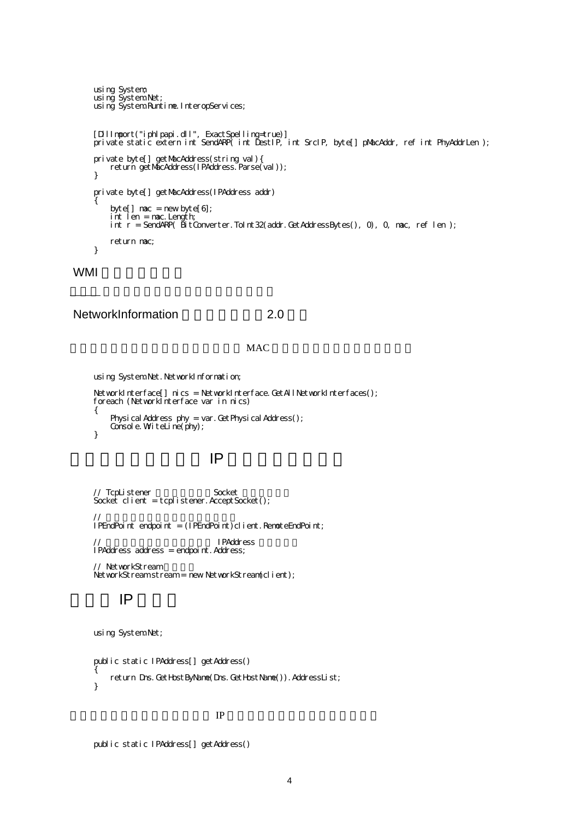```
 using System;
 using System.Net;
 using System.Runtime.InteropServices;
 [DllImport("iphlpapi.dll", ExactSpelling=true)]
private static extern int SendARP( int DestIP, int SrcIP, byte[] pMacAddr, ref int PhyAddrLen );
 private byte[] getMacAddress(string val){
return getMacAddress(IPAddress.Parse(val));
 }
 private byte[] getMacAddress(IPAddress addr)
 {
byte[] \textsf{mac} = \textsf{new} byte[6];
 int len = mac.Length;
     int r = SendARP( BitConverter.ToInt32(addr.GetAddressBytes(), 0), 0, mac, ref len );
     return mac;
 }
```
### WMI

### NetworkInformation 2.0

#### **MAC**

using System.Net.NetworkInformation;

<u>[こっち](http://www.shise.net/wiki/wiki.cgi?page=C%23%2FClass%2FIPAddress2) の</u>ソースコード

```
NetworkInterface[] nics = NetworkInterface. GetAllNetworkInterfaces();
 foreach (NetworkInterface var in nics)
 {
    Physical Address phy = var. Get Physical Address();
    Console. WriteLine(phy);
 }
```
## $IP$  IP  $IP$

```
// TcpListener Socket
Socket client = tcplistener.AcceptSocket();
// エンドポイント
IPEndPoint endpoint = (IPEndPoint)client. RemoteEndPoint;
// IPAddress intervalsed in the IPAddress in the IPAddress in the IPAddress in the IPAddress in the IPAddress in the IPAddress in the IPAddress in the IPAddress in the IPAddress in the IPAddress in the IPAddress in the IPA
 IPAddress address = endpoint.Address;
 // NetworkStream
```

```
NetworkStream stream = new NetworkStream(client);
```
## and IP and IP and IP and IP and IP and IP and IP and IP and IP and IP and IP and IP and IP and IP and IP and IP and IP and IP and IP and IP and IP and IP and IP and IP and IP and IP and IP and IP and IP and IP and IP and I

```
 using System.Net;
```

```
 public static IPAddress[] getAddress()
 {
    return Dns. GetHostByName(Dns. GetHostName()). AddressList;
 }
```
#### $IP$

```
 public static IPAddress[] getAddress()
```